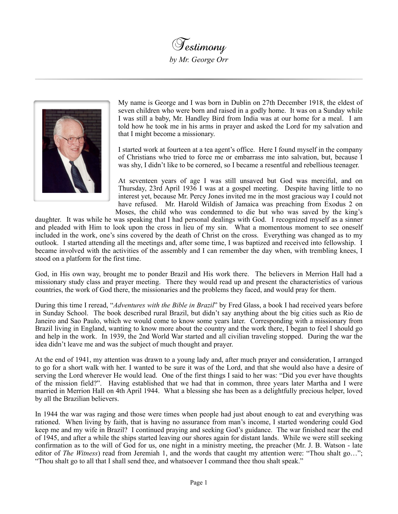**Testimony** *by Mr. George Orr*



My name is George and I was born in Dublin on 27th December 1918, the eldest of seven children who were born and raised in a godly home. It was on a Sunday while I was still a baby, Mr. Handley Bird from India was at our home for a meal. I am told how he took me in his arms in prayer and asked the Lord for my salvation and that I might become a missionary.

I started work at fourteen at a tea agent's office. Here I found myself in the company of Christians who tried to force me or embarrass me into salvation, but, because I was shy, I didn't like to be cornered, so I became a resentful and rebellious teenager.

At seventeen years of age I was still unsaved but God was merciful, and on Thursday, 23rd April 1936 I was at a gospel meeting. Despite having little to no interest yet, because Mr. Percy Jones invited me in the most gracious way I could not have refused. Mr. Harold Wildish of Jamaica was preaching from Exodus 2 on Moses, the child who was condemned to die but who was saved by the king's

daughter. It was while he was speaking that I had personal dealings with God. I recognized myself as a sinner and pleaded with Him to look upon the cross in lieu of my sin. What a momentous moment to see oneself included in the work, one's sins covered by the death of Christ on the cross. Everything was changed as to my outlook. I started attending all the meetings and, after some time, I was baptized and received into fellowship. I became involved with the activities of the assembly and I can remember the day when, with trembling knees, I stood on a platform for the first time.

God, in His own way, brought me to ponder Brazil and His work there. The believers in Merrion Hall had a missionary study class and prayer meeting. There they would read up and present the characteristics of various countries, the work of God there, the missionaries and the problems they faced, and would pray for them.

During this time I reread, "*Adventures with the Bible in Brazil*" by Fred Glass, a book I had received years before in Sunday School. The book described rural Brazil, but didn't say anything about the big cities such as Rio de Janeiro and Sao Paulo, which we would come to know some years later. Corresponding with a missionary from Brazil living in England, wanting to know more about the country and the work there, I began to feel I should go and help in the work. In 1939, the 2nd World War started and all civilian traveling stopped. During the war the idea didn't leave me and was the subject of much thought and prayer.

At the end of 1941, my attention was drawn to a young lady and, after much prayer and consideration, I arranged to go for a short walk with her. I wanted to be sure it was of the Lord, and that she would also have a desire of serving the Lord wherever He would lead. One of the first things I said to her was: "Did you ever have thoughts of the mission field?". Having established that we had that in common, three years later Martha and I were married in Merrion Hall on 4th April 1944. What a blessing she has been as a delightfully precious helper, loved by all the Brazilian believers.

In 1944 the war was raging and those were times when people had just about enough to eat and everything was rationed. When living by faith, that is having no assurance from man's income, I started wondering could God keep me and my wife in Brazil? I continued praying and seeking God's guidance. The war finished near the end of 1945, and after a while the ships started leaving our shores again for distant lands. While we were still seeking confirmation as to the will of God for us, one night in a ministry meeting, the preacher (Mr. J. B. Watson - late editor of *The Witness*) read from Jeremiah 1, and the words that caught my attention were: "Thou shalt go..."; "Thou shalt go to all that I shall send thee, and whatsoever I command thee thou shalt speak."